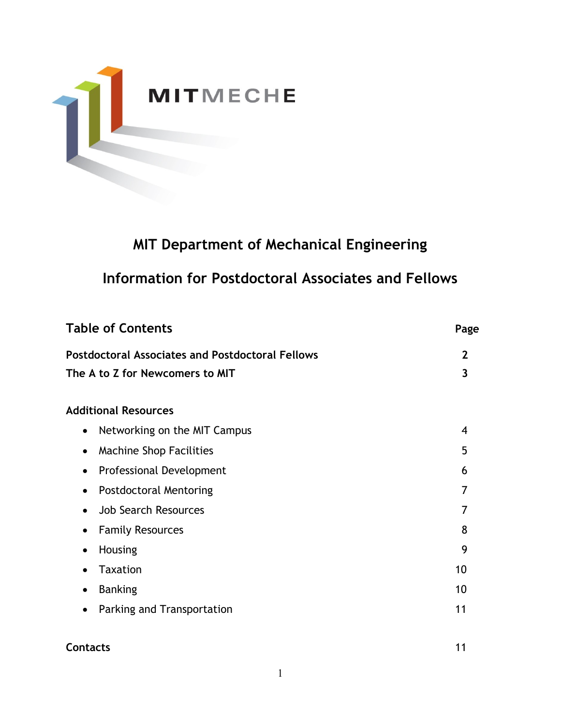

# **MIT Department of Mechanical Engineering**

# **Information for Postdoctoral Associates and Fellows**

| <b>Table of Contents</b>                                | Page                    |
|---------------------------------------------------------|-------------------------|
| <b>Postdoctoral Associates and Postdoctoral Fellows</b> | $\mathbf{2}$            |
| The A to Z for Newcomers to MIT                         | $\overline{\mathbf{3}}$ |
| <b>Additional Resources</b>                             |                         |
| Networking on the MIT Campus<br>$\bullet$               | 4                       |
| <b>Machine Shop Facilities</b>                          | 5                       |
| Professional Development<br>$\bullet$                   | 6                       |
| <b>Postdoctoral Mentoring</b><br>$\bullet$              | 7                       |
| <b>Job Search Resources</b><br>$\bullet$                | 7                       |
| <b>Family Resources</b>                                 | 8                       |
| Housing<br>$\bullet$                                    | 9                       |
| <b>Taxation</b>                                         | 10                      |
| <b>Banking</b><br>$\bullet$                             | 10                      |
| Parking and Transportation<br>$\bullet$                 | 11                      |
| <b>Contacts</b>                                         | 11                      |

1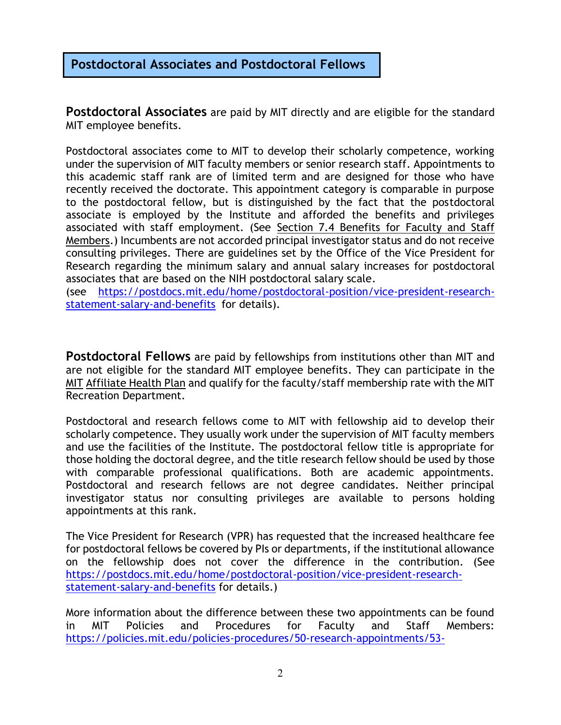# **Postdoctoral Associates and Postdoctoral Fellows**

**Postdoctoral Associates** are paid by MIT directly and are eligible for the standard MIT employee benefits.

Postdoctoral associates come to MIT to develop their scholarly competence, working under the supervision of MIT faculty members or senior research staff. Appointments to this academic staff rank are of limited term and are designed for those who have recently received the doctorate. This appointment category is comparable in purpose to the postdoctoral fellow, but is distinguished by the fact that the postdoctoral associate is employed by the Institute and afforded the benefits and privileges associated with staff employment. (See [Section 7.4 Benefits for Faculty and Staff](http://web.mit.edu/policies/7/7.4.html)  [Members.](http://web.mit.edu/policies/7/7.4.html)) Incumbents are not accorded principal investigator status and do not receive consulting privileges. There are guidelines set by the Office of the Vice President for Research regarding the minimum salary and annual salary increases for postdoctoral associates that are based on the NIH postdoctoral salary scale.

(see [https://postdocs.mit.edu/home/postdoctoral-position/vice-president-research](https://postdocs.mit.edu/home/postdoctoral-position/vice-president-research-statement-salary-and-benefits)[statement-salary-and-benefits](https://postdocs.mit.edu/home/postdoctoral-position/vice-president-research-statement-salary-and-benefits) for details).

**Postdoctoral Fellows** are paid by fellowships from institutions other than MIT and are not eligible for the standard MIT employee benefits. They can participate in the MIT [Affiliate Health Pl](https://medical.mit.edu/learn-about-health-plans/mit-affiliate-health-plans)an and qualify for the faculty/staff membership rate with the MIT Recreation Department.

Postdoctoral and research fellows come to MIT with fellowship aid to develop their scholarly competence. They usually work under the supervision of MIT faculty members and use the facilities of the Institute. The postdoctoral fellow title is appropriate for those holding the doctoral degree, and the title research fellow should be used by those with comparable professional qualifications. Both are academic appointments. Postdoctoral and research fellows are not degree candidates. Neither principal investigator status nor consulting privileges are available to persons holding appointments at this rank.

The Vice President for Research (VPR) has requested that the increased healthcare fee for postdoctoral fellows be covered by PIs or departments, if the institutional allowance on the fellowship does not cover the difference in the contribution. (See [https://postdocs.mit.edu/home/postdoctoral-position/vice-president-research](https://postdocs.mit.edu/home/postdoctoral-position/vice-president-research-statement-salary-and-benefits)[statement-salary-and-benefits](https://postdocs.mit.edu/home/postdoctoral-position/vice-president-research-statement-salary-and-benefits) for details.)

More information about the difference between these two appointments can be found in MIT Policies and Procedures for Faculty and Staff Members: [https://policies.mit.edu/policies-procedures/50-research-appointments/53-](https://policies.mit.edu/policies-procedures/50-research-appointments/53-academic-research-staff-appointments#5.3.2)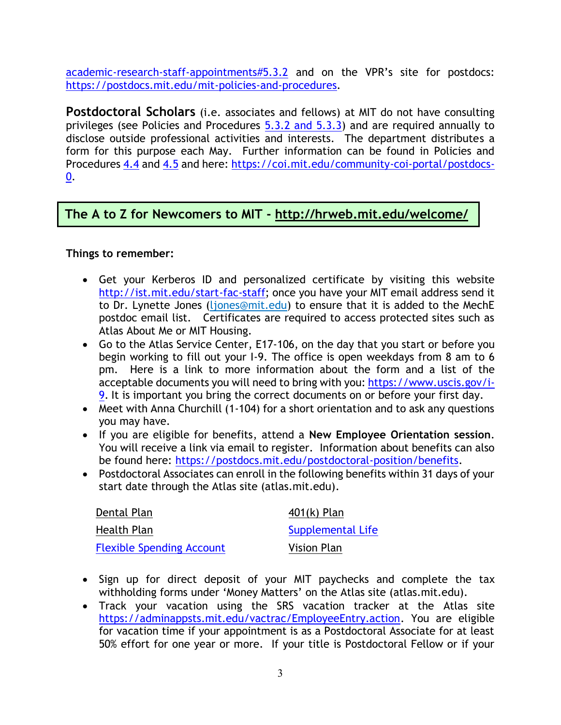[academic-research-staff-appointments#5.3.2](https://policies.mit.edu/policies-procedures/50-research-appointments/53-academic-research-staff-appointments#5.3.2) and on the VPR's site for postdocs: [https://postdocs.mit.edu/mit-policies-and-procedures.](https://postdocs.mit.edu/mit-policies-and-procedures)

**Postdoctoral Scholars** (i.e. associates and fellows) at MIT do not have consulting privileges (see Policies and Procedures [5.3.2 and 5.3.3\)](https://policies.mit.edu/policies-procedures/50-research-appointments/53-academic-research-staff-appointments#5.3.2) and are required annually to disclose outside professional activities and interests. The department distributes a form for this purpose each May. Further information can be found in Policies and Procedures [4.4](https://policies.mit.edu/policies-procedures/40-faculty-rights-and-responsibilities/44-conflict-interest) and [4.5](https://policies.mit.edu/policies-procedures/40-faculty-rights-and-responsibilities/45-outside-professional-activities) and here: [https://coi.mit.edu/community-coi-portal/postdocs-](https://coi.mit.edu/community-coi-portal/postdocs-0)[0.](https://coi.mit.edu/community-coi-portal/postdocs-0)

## **The A to Z for Newcomers to MIT - <http://hrweb.mit.edu/welcome/>**

#### **Things to remember:**

- Get your Kerberos ID and personalized certificate by visiting this website [http://ist.mit.edu/start-fac-staff;](http://ist.mit.edu/start-fac-staff) once you have your MIT email address send it to Dr. Lynette Jones [\(ljones@mit.edu\)](mailto:ljones@mit.edu) to ensure that it is added to the MechE postdoc email list. Certificates are required to access protected sites such as Atlas About Me or MIT Housing.
- Go to the Atlas Service Center, E17-106, on the day that you start or before you begin working to fill out your I-9. The office is open weekdays from 8 am to 6 pm. Here is a link to more information about the form and a list of the acceptable documents you will need to bring with you: [https://www.uscis.gov/i-](https://www.uscis.gov/i-9)[9.](https://www.uscis.gov/i-9) It is important you bring the correct documents on or before your first day.
- Meet with Anna Churchill (1-104) for a short orientation and to ask any questions you may have.
- If you are eligible for benefits, attend a **New Employee Orientation session**. You will receive a link via email to register. Information about benefits can also be found here: [https://postdocs.mit.edu/postdoctoral-position/benefits.](https://postdocs.mit.edu/postdoctoral-position/benefits)
- Postdoctoral Associates can enroll in the following benefits within 31 days of your start date through the Atlas site (atlas.mit.edu).

| Dental Plan                      | $401(k)$ Plan      |
|----------------------------------|--------------------|
| Health Plan                      | Supplemental Life  |
| <b>Flexible Spending Account</b> | <b>Vision Plan</b> |

- Sign up for direct deposit of your MIT paychecks and complete the tax withholding forms under 'Money Matters' on the Atlas site (atlas.mit.edu).
- Track your vacation using the SRS vacation tracker at the Atlas site [https://adminappsts.mit.edu/vactrac/EmployeeEntry.action.](https://adminappsts.mit.edu/vactrac/EmployeeEntry.action) You are eligible for vacation time if your appointment is as a Postdoctoral Associate for at least 50% effort for one year or more. If your title is Postdoctoral Fellow or if your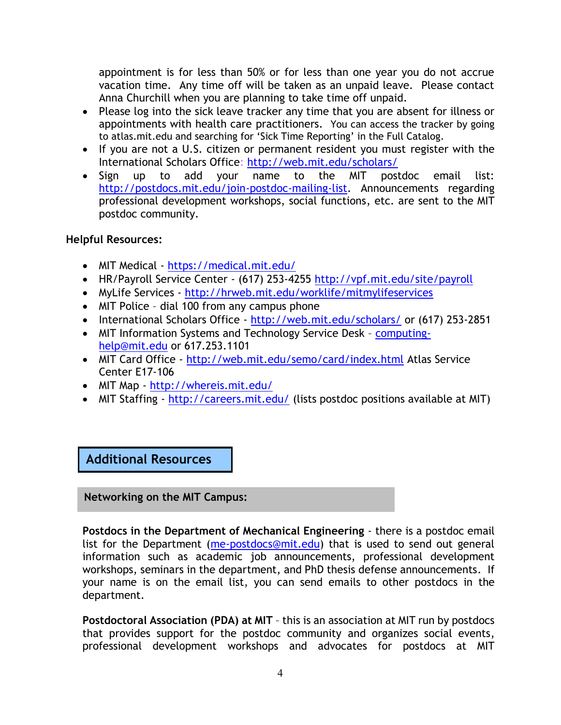appointment is for less than 50% or for less than one year you do not accrue vacation time. Any time off will be taken as an unpaid leave. Please contact Anna Churchill when you are planning to take time off unpaid.

- Please log into the sick leave tracker any time that you are absent for illness or appointments with health care practitioners. You can access the tracker by going to atlas.mit.edu and searching for 'Sick Time Reporting' in the Full Catalog.
- If you are not a U.S. citizen or permanent resident you must register with the International Scholars Office:<http://web.mit.edu/scholars/>
- Sign up to add your name to the MIT postdoc email list: [http://postdocs.mit.edu/join-postdoc-mailing-list.](http://postdocs.mit.edu/join-postdoc-mailing-list) Announcements regarding professional development workshops, social functions, etc. are sent to the MIT postdoc community.

### **Helpful Resources:**

- MIT Medical <https://medical.mit.edu/>
- HR/Payroll Service Center (617) 253-4255<http://vpf.mit.edu/site/payroll>
- MyLife Services <http://hrweb.mit.edu/worklife/mitmylifeservices>
- MIT Police dial 100 from any campus phone
- International Scholars Office <http://web.mit.edu/scholars/> or (617) 253-2851
- MIT Information Systems and Technology Service Desk [computing](file://///meche-fs.mit.edu/share/me-hr/_common/Postdocs/computing-help@mit.edu)[help@mit.edu](file://///meche-fs.mit.edu/share/me-hr/_common/Postdocs/computing-help@mit.edu) or 617.253.1101
- MIT Card Office <http://web.mit.edu/semo/card/index.html> Atlas Service Center E17-106
- MIT Map <http://whereis.mit.edu/>
- MIT Staffing <http://careers.mit.edu/> (lists postdoc positions available at MIT)

# **Additional Resources**

**Networking on the MIT Campus:**

**Postdocs in the Department of Mechanical Engineering** - there is a postdoc email list for the Department [\(me-postdocs@mit.edu\)](file://///meche-fs.mit.edu/share/me-hr/_common/Postdocs/me-postdocs@mit.edu) that is used to send out general information such as academic job announcements, professional development workshops, seminars in the department, and PhD thesis defense announcements. If your name is on the email list, you can send emails to other postdocs in the department.

**Postdoctoral Association (PDA) at MIT** – this is an association at MIT run by postdocs that provides support for the postdoc community and organizes social events, professional development workshops and advocates for postdocs at MIT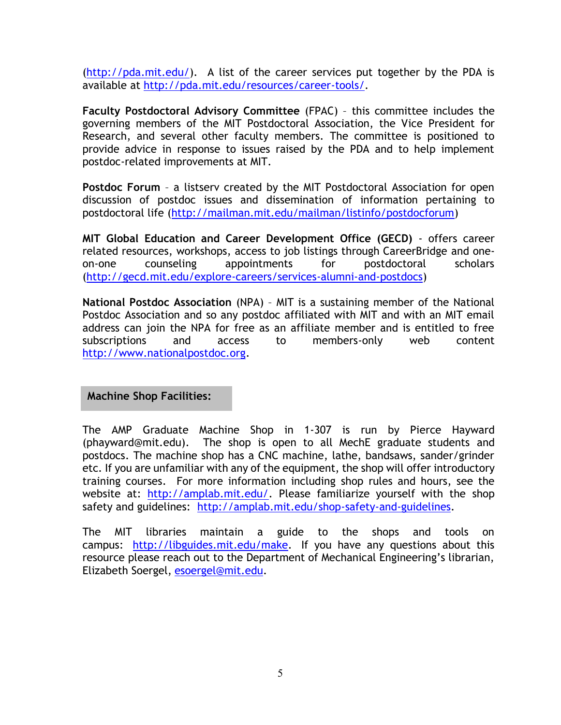[\(http://pda.mit.edu/\)](http://pda.mit.edu/). A list of the career services put together by the PDA is available at [http://pda.mit.edu/resources/career-tools/.](http://pda.mit.edu/resources/career-tools/)

**Faculty Postdoctoral Advisory Committee** (FPAC) – this committee includes the governing members of the MIT Postdoctoral Association, the Vice President for Research, and several other faculty members. The committee is positioned to provide advice in response to issues raised by the PDA and to help implement postdoc-related improvements at MIT.

**Postdoc Forum** – a listserv created by the MIT Postdoctoral Association for open discussion of postdoc issues and dissemination of information pertaining to postdoctoral life [\(http://mailman.mit.edu/mailman/listinfo/postdocforum\)](http://mailman.mit.edu/mailman/listinfo/postdocforum)

**MIT Global Education and Career Development Office (GECD)** - offers career related resources, workshops, access to job listings through CareerBridge and oneon-one counseling appointments for postdoctoral scholars [\(http://gecd.mit.edu/explore-careers/services-alumni-and-postdocs\)](http://gecd.mit.edu/explore-careers/services-alumni-and-postdocs)

**National Postdoc Association** (NPA) – MIT is a sustaining member of the National Postdoc Association and so any postdoc affiliated with MIT and with an MIT email address can join the NPA for free as an affiliate member and is entitled to free subscriptions and access to members-only web content [http://www.nationalpostdoc.org.](http://www.nationalpostdoc.org/)

**Machine Shop Facilities:**

The AMP Graduate Machine Shop in 1-307 is run by Pierce Hayward (phayward@mit.edu). The shop is open to all MechE graduate students and postdocs. The machine shop has a CNC machine, lathe, bandsaws, sander/grinder etc. If you are unfamiliar with any of the equipment, the shop will offer introductory training courses. For more information including shop rules and hours, see the website at: [http://amplab.mit.edu/.](http://amplab.mit.edu/) Please familiarize yourself with the shop safety and guidelines: [http://amplab.mit.edu/shop-safety-and-guidelines.](http://amplab.mit.edu/shop-safety-and-guidelines)

The MIT libraries maintain a guide to the shops and tools on campus: [http://libguides.mit.edu/make.](http://libguides.mit.edu/make) If you have any questions about this resource please reach out to the Department of Mechanical Engineering's librarian, Elizabeth Soergel, [esoergel@mit.edu.](mailto:esoergel@mit.edu)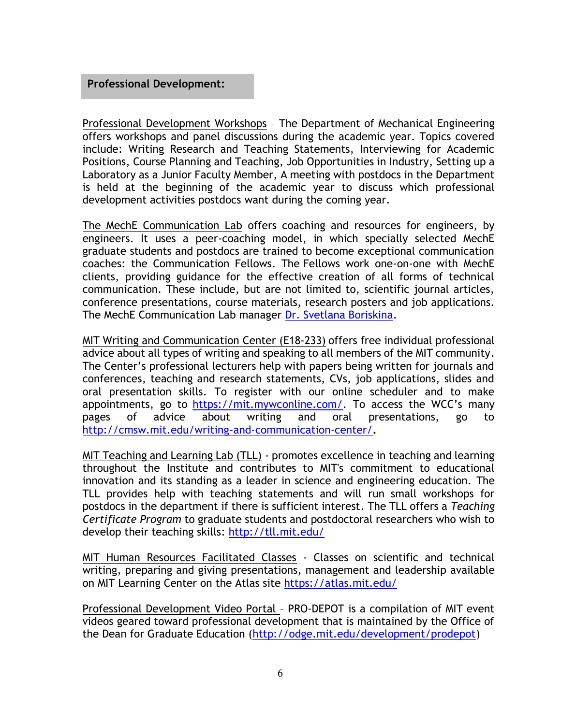#### **Professional Development:**

Professional Development Workshops – The Department of Mechanical Engineering offers workshops and panel discussions during the academic year. Topics covered include: Writing Research and Teaching Statements, Interviewing for Academic Positions, Course Planning and Teaching, Job Opportunities in Industry, Setting up a Laboratory as a Junior Faculty Member, A meeting with postdocs in the Department is held at the beginning of the academic year to discuss which professional development activities postdocs want during the coming year.

The MechE Communication Lab offers coaching and resources for engineers, by engineers. It uses a peer-coaching model, in which specially selected MechE graduate students and postdocs are trained to become exceptional communication coaches: the Communication Fellows. The Fellows work one-on-one with MechE clients, providing guidance for the effective creation of all forms of technical communication. These include, but are not limited to, scientific journal articles, conference presentations, course materials, research posters and job applications. The MechE Communication Lab manager Dr. [Svetlana Boriskina.](mailto:mechecl-admin@mit.edu)

MIT Writing and Communication Center (E18-233) offers free individual professional advice about all types of writing and speaking to all members of the MIT community. The Center's professional lecturers help with papers being written for journals and conferences, teaching and research statements, CVs, job applications, slides and oral presentation skills. To register with our online scheduler and to make appointments, go to <https://mit.mywconline.com/>. To access the WCC's many pages of advice about writing and oral presentations, go to <http://cmsw.mit.edu/writing-and-communication-center/>**.**

MIT Teaching and Learning Lab (TLL) - promotes excellence in teaching and learning throughout the Institute and contributes to MIT's commitment to educational innovation and its standing as a leader in science and engineering education. The TLL provides help with teaching statements and will run small workshops for postdocs in the department if there is sufficient interest. The TLL offers a *Teaching Certificate Program* to graduate students and postdoctoral researchers who wish to develop their teaching skills:<http://tll.mit.edu/>

MIT Human Resources Facilitated Classes - Classes on scientific and technical writing, preparing and giving presentations, management and leadership available on MIT Learning Center on the Atlas site<https://atlas.mit.edu/>

Professional Development Video Portal – PRO-DEPOT is a compilation of MIT event videos geared toward professional development that is maintained by the Office of the Dean for Graduate Education [\(http://odge.mit.edu/development/prodepot\)](http://odge.mit.edu/development/prodepot)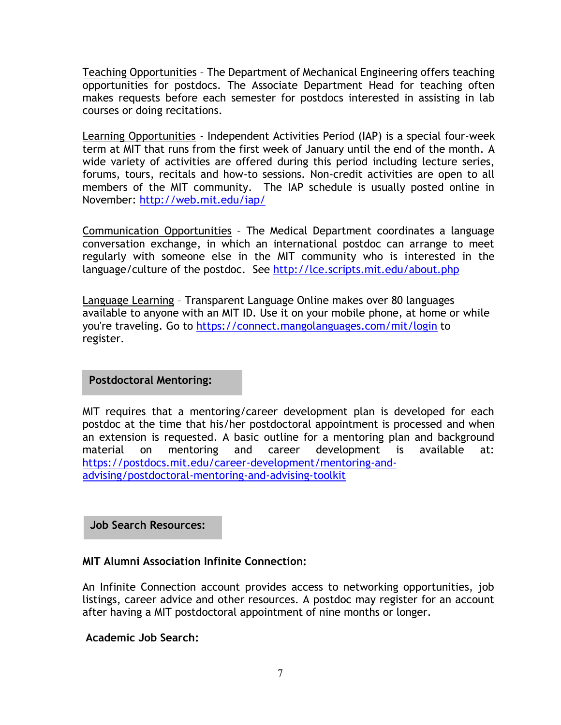Teaching Opportunities – The Department of Mechanical Engineering offers teaching opportunities for postdocs. The Associate Department Head for teaching often makes requests before each semester for postdocs interested in assisting in lab courses or doing recitations.

Learning Opportunities - Independent Activities Period (IAP) is a special four-week term at MIT that runs from the first week of January until the end of the month. A wide variety of activities are offered during this period including lecture series, forums, tours, recitals and how-to sessions. Non-credit activities are open to all members of the MIT community. The IAP schedule is usually posted online in November:<http://web.mit.edu/iap/>

Communication Opportunities – The Medical Department coordinates a language conversation exchange, in which an international postdoc can arrange to meet regularly with someone else in the MIT community who is interested in the language/culture of the postdoc. See<http://lce.scripts.mit.edu/about.php>

Language Learning – Transparent Language Online makes over 80 languages available to anyone with an MIT ID. Use it on your mobile phone, at home or while you're traveling. Go to <https://connect.mangolanguages.com/mit/login> to register.

**Postdoctoral Mentoring:**

MIT requires that a mentoring/career development plan is developed for each postdoc at the time that his/her postdoctoral appointment is processed and when an extension is requested. A basic outline for a mentoring plan and background material on mentoring and career development is available at: [https://postdocs.mit.edu/career-development/mentoring-and](https://postdocs.mit.edu/career-development/mentoring-and-advising/postdoctoral-mentoring-and-advising-toolkit)[advising/postdoctoral-mentoring-and-advising-toolkit](https://postdocs.mit.edu/career-development/mentoring-and-advising/postdoctoral-mentoring-and-advising-toolkit)

### **Job Search Resources:**

### **MIT Alumni Association Infinite Connection:**

An Infinite Connection account provides access to networking opportunities, job listings, career advice and other resources. A postdoc may register for an account after having a MIT postdoctoral appointment of nine months or longer.

**Academic Job Search:**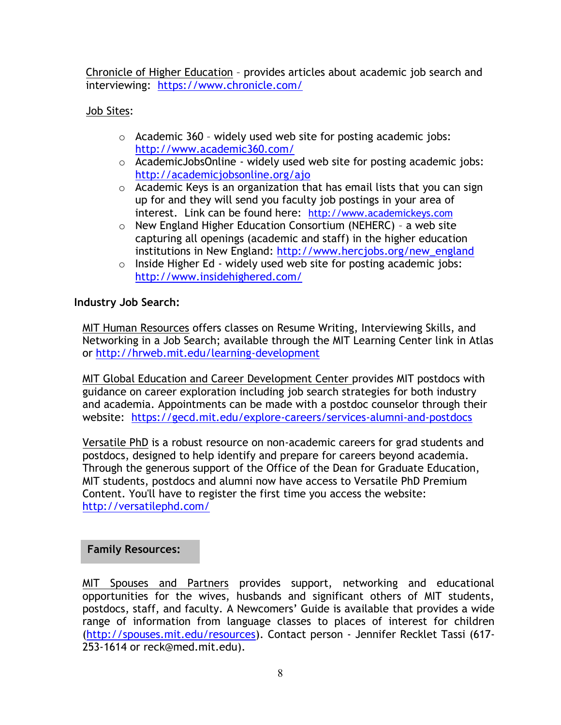[Chronicle of Higher Education](http://chronicle.com/section/Jobs/61/) – provides articles about academic job search and interviewing: <https://www.chronicle.com/>

### Job Sites:

- o Academic 360 widely used web site for posting academic jobs: <http://www.academic360.com/>
- $\circ$  AcademicJobsOnline widely used web site for posting academic jobs: <http://academicjobsonline.org/ajo>
- o Academic Keys is an organization that has email lists that you can sign up for and they will send you faculty job postings in your area of interest. Link can be found here: [http://www.academickeys.com](http://www.academickeys.com/)
- o New England Higher Education Consortium (NEHERC) a web site capturing all openings (academic and staff) in the higher education institutions in New England: [http://www.hercjobs.org/new\\_england](http://www.hercjobs.org/new_england)
- o Inside Higher Ed widely used web site for posting academic jobs: <http://www.insidehighered.com/>

### **Industry Job Search:**

MIT Human Resources offers classes on Resume Writing, Interviewing Skills, and Networking in a Job Search; available through the MIT Learning Center link in Atlas or <http://hrweb.mit.edu/learning-development>

MIT Global Education and Career Development Center provides MIT postdocs with guidance on career exploration including job search strategies for both industry and academia. Appointments can be made with a postdoc counselor through their website: <https://gecd.mit.edu/explore-careers/services-alumni-and-postdocs>

[Versatile PhD](https://owa.exchange.mit.edu/owa/redir.aspx?C=Npgy8XcP10yYR2v4qpzPO0pCqbkHuNAI3ihQSyyuC18IRANiiEHPPBqvrv2akKMJQjMBvbIcS-4.&URL=http%3a%2f%2fversatilephd.com%2f) is a robust resource on non-academic careers for grad students and postdocs, designed to help identify and prepare for careers beyond academia. Through the generous support of the Office of the Dean for Graduate Education, MIT students, postdocs and alumni now have access to Versatile PhD Premium Content. You'll have to register the first time you access the website: <http://versatilephd.com/>

### **Family Resources:**

MIT Spouses and Partners provides support, networking and educational opportunities for the wives, husbands and significant others of MIT students, postdocs, staff, and faculty. A Newcomers' Guide is available that provides a wide range of information from language classes to places of interest for children [\(http://spouses.mit.edu/resources\)](http://spouses.mit.edu/resources). Contact person - [Jennifer Recklet](http://web.mit.edu/spouses/about_us/staff.html) Tassi (617- 253-1614 or [reck@med.mit.edu\)](mailto:reck@med.mit.edu).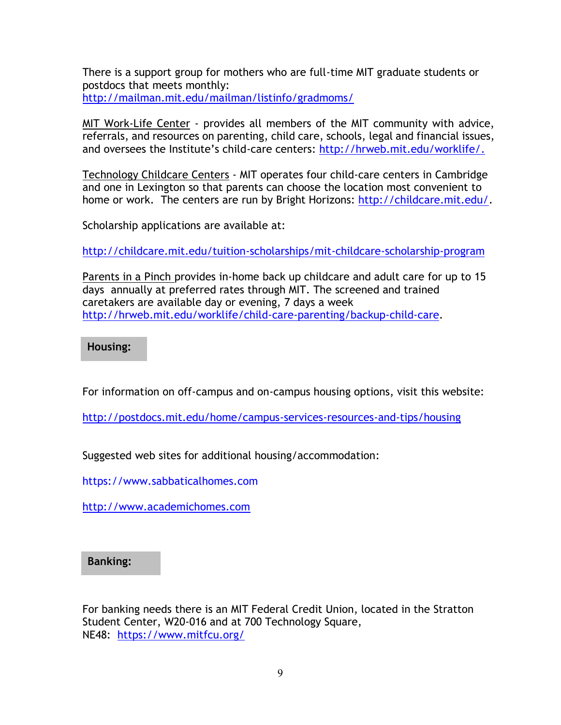There is a support group for mothers who are full-time MIT graduate students or postdocs that meets monthly: <http://mailman.mit.edu/mailman/listinfo/gradmoms/>

MIT Work-Life Center - provides all members of the MIT community with advice, referrals, and resources on parenting, child care, schools, legal and financial issues, and oversees the Institute's child-care centers: [http://hrweb.mit.edu/worklife/.](http://hrweb.mit.edu/worklife/)

Technology Childcare Centers - MIT operates four child-care centers in Cambridge and one in Lexington so that parents can choose the location most convenient to home or work. The centers are run by Bright Horizons: [http://childcare.mit.edu/.](http://childcare.mit.edu/)

Scholarship applications are available at:

<http://childcare.mit.edu/tuition-scholarships/mit-childcare-scholarship-program>

Parents in a Pinch provides in-home back up childcare and adult care for up to 15 days annually at preferred rates through MIT. The screened and trained caretakers are available day or evening, 7 days a week [http://hrweb.mit.edu/worklife/child-care-parenting/backup-child-care.](http://hrweb.mit.edu/worklife/child-care-parenting/backup-child-care)

**Housing:** 

For information on off-campus and on-campus housing options, visit this website:

<http://postdocs.mit.edu/home/campus-services-resources-and-tips/housing>

Suggested web sites for additional housing/accommodation:

[https://www.sabbaticalhomes.com](https://www.sabbaticalhomes.com/)

[http://www.academichomes.com](http://www.academichomes.com/)

### **Banking:**

For banking needs there is an MIT Federal Credit Union, located in the Stratton Student Center, W20-016 and at 700 Technology Square, NE48: <https://www.mitfcu.org/>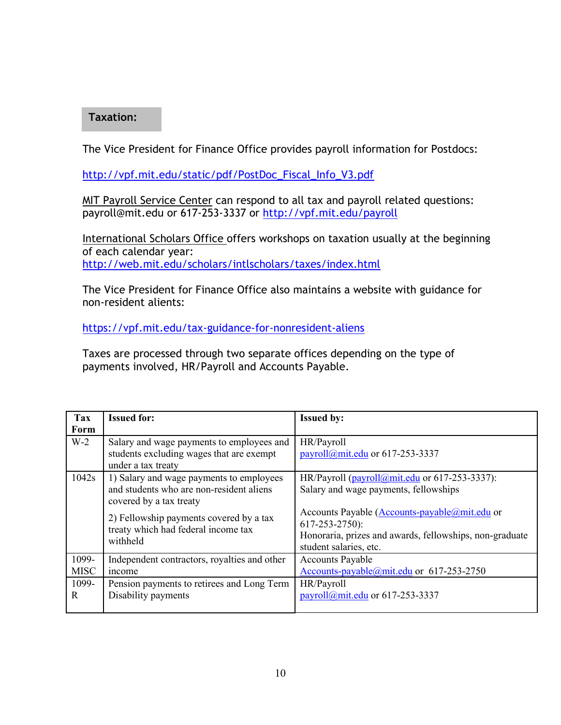#### **Taxation:**

The Vice President for Finance Office provides payroll information for Postdocs:

[http://vpf.mit.edu/static/pdf/PostDoc\\_Fiscal\\_Info\\_V3.pdf](http://vpf.mit.edu/static/pdf/PostDoc_Fiscal_Info_V3.pdf)

MIT Payroll Service Center can respond to all tax and payroll related questions: [payroll@mit.edu](mailto:payroll@mit.edu) or 617-253-3337 or<http://vpf.mit.edu/payroll>

International Scholars Office offers workshops on taxation usually at the beginning of each calendar year: <http://web.mit.edu/scholars/intlscholars/taxes/index.html>

The Vice President for Finance Office also maintains a website with guidance for non-resident alients:

<https://vpf.mit.edu/tax-guidance-for-nonresident-aliens>

Taxes are processed through two separate offices depending on the type of payments involved, HR/Payroll and Accounts Payable.

| <b>Tax</b>           | <b>Issued for:</b>                                                                                                                                                                                            | <b>Issued by:</b>                                                                                                                                                                                                                                                                              |
|----------------------|---------------------------------------------------------------------------------------------------------------------------------------------------------------------------------------------------------------|------------------------------------------------------------------------------------------------------------------------------------------------------------------------------------------------------------------------------------------------------------------------------------------------|
| Form                 |                                                                                                                                                                                                               |                                                                                                                                                                                                                                                                                                |
| $W-2$                | Salary and wage payments to employees and<br>students excluding wages that are exempt<br>under a tax treaty                                                                                                   | HR/Payroll<br>payroll@mit.edu or 617-253-3337                                                                                                                                                                                                                                                  |
| 1042s                | 1) Salary and wage payments to employees<br>and students who are non-resident aliens<br>covered by a tax treaty<br>2) Fellowship payments covered by a tax<br>treaty which had federal income tax<br>withheld | HR/Payroll $\frac{\text{(payroll@mit.edu}}{\text{(dayroll@mit.edu)}}$ or 617-253-3337):<br>Salary and wage payments, fellowships<br>Accounts Payable (Accounts-payable@mit.edu or<br>$617 - 253 - 2750$ :<br>Honoraria, prizes and awards, fellowships, non-graduate<br>student salaries, etc. |
| 1099-<br><b>MISC</b> | Independent contractors, royalties and other<br>income                                                                                                                                                        | <b>Accounts Payable</b><br>Accounts-payable@mit.edu or 617-253-2750                                                                                                                                                                                                                            |
| 1099-<br>R           | Pension payments to retirees and Long Term<br>Disability payments                                                                                                                                             | HR/Payroll<br>payroll@mit.edu or $617-253-3337$                                                                                                                                                                                                                                                |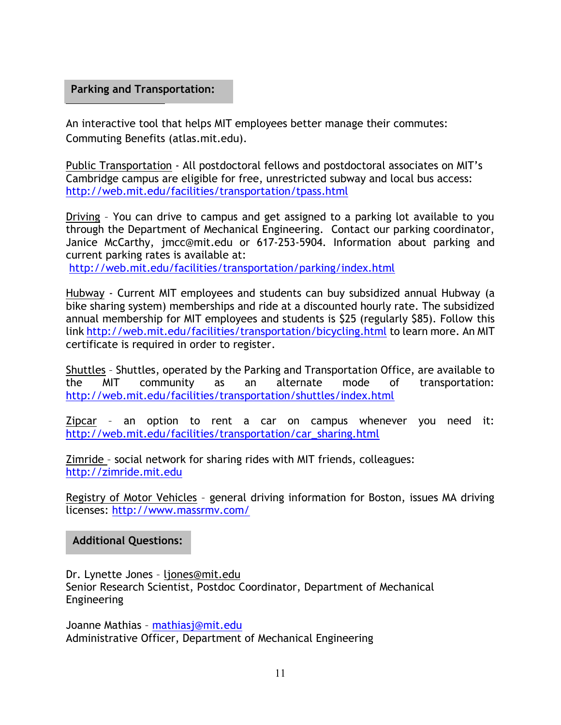#### Access My Commute My Communications **Parking and Transportation:**

An interactive tool that helps MIT employees better manage their commutes: Commuting Benefits (atlas.mit.edu).

Public Transportation - All postdoctoral fellows and postdoctoral associates on MIT's Cambridge campus are eligible for free, unrestricted subway and local bus access: <http://web.mit.edu/facilities/transportation/tpass.html>

Driving – You can drive to campus and get assigned to a parking lot available to you through the Department of Mechanical Engineering. Contact our parking coordinator, Janice McCarthy, jmcc@mit.edu or 617-253-5904. Information about parking and current parking rates is available at:

<http://web.mit.edu/facilities/transportation/parking/index.html>

Hubway - Current MIT employees and students can buy subsidized annual Hubway (a bike sharing system) memberships and ride at a discounted hourly rate. The subsidized annual membership for MIT employees and students is \$25 (regularly \$85). Follow this link<http://web.mit.edu/facilities/transportation/bicycling.html> to learn more. An MIT certificate is required in order to register.

Shuttles – Shuttles, operated by the Parking and Transportation Office, are available to the MIT community as an alternate mode of transportation: <http://web.mit.edu/facilities/transportation/shuttles/index.html>

Zipcar – an option to rent a car on campus whenever you need it: [http://web.mit.edu/facilities/transportation/car\\_sharing.html](http://web.mit.edu/facilities/transportation/car_sharing.html)

Zimride – social network for sharing rides with MIT friends, colleagues: [http://zimride.mit.edu](http://zimride.mit.edu/)

Registry of Motor Vehicles - general driving information for Boston, issues MA driving licenses:<http://www.massrmv.com/>

**Additional Questions:**

Dr. Lynette Jones – [ljones@mit.edu](mailto:ljones@mit.edu) Senior Research Scientist, Postdoc Coordinator, Department of Mechanical Engineering

Joanne Mathias – [mathiasj@mit.edu](mailto:mathiasj@mit.edu) Administrative Officer, Department of Mechanical Engineering